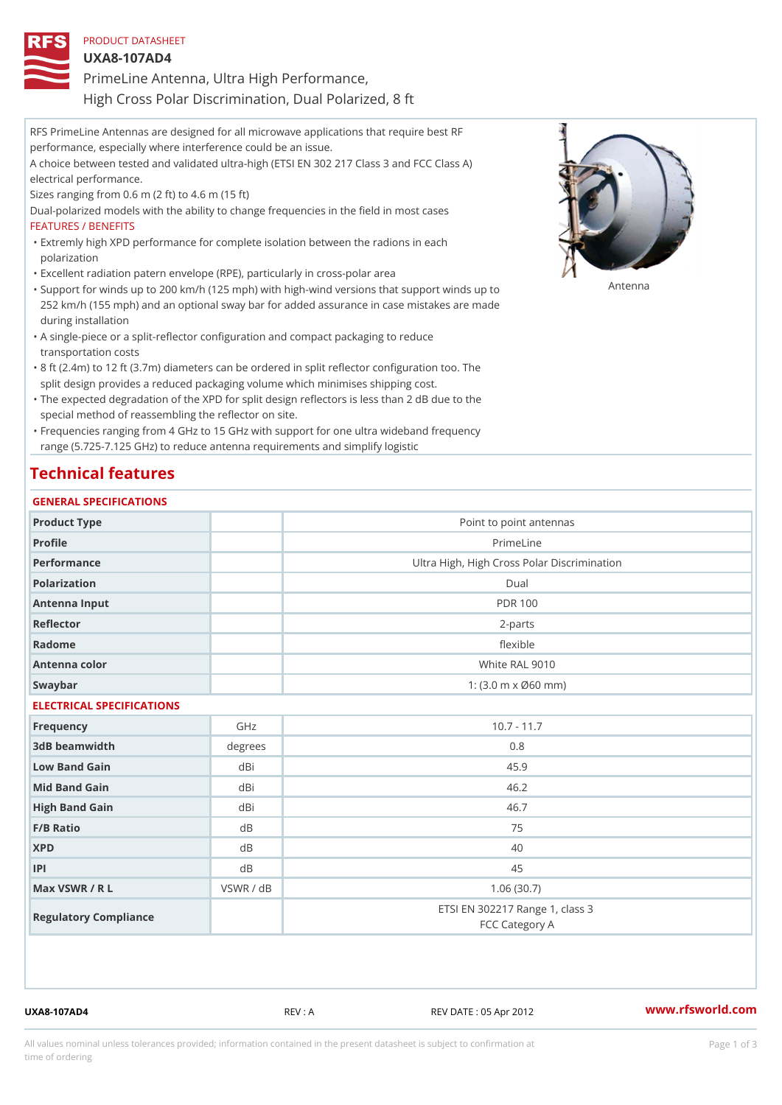| PRODUCT DATASHEET                                     |
|-------------------------------------------------------|
| $UXA8-107ADA$                                         |
| PrimeLine Antenna, Ultra High Performance,            |
| High Cross Polar Discrimination, Dual Polarized, 8 ft |

RFS PrimeLine Antennas are designed for all microwave applications that require best RF performance, especially where interference could be an issue. A choice between tested and validated ultra-high (ETSI EN 302 217 Class 3 and FCC Class A) electrical performance. Sizes ranging from 0.6 m (2 ft) to 4.6 m (15 ft) Dual-polarized models with the ability to change frequencies in the field in most cases FEATURES / BENEFITS Extremly high XPD performance for complete isolation between the radions in each " polarization "Excellent radiation patern envelope (RPE), particularly in cross-polar area "Support for winds up to 200 km/h (125 mph) with high-wind versions that support for wands up to 252 km/h (155 mph) and an optional sway bar for added assurance in case mistakes are made during installation

- A single-piece or a split-reflector configuration and compact packaging to reduce " transportation costs
- 8 ft (2.4m) to 12 ft (3.7m) diameters can be ordered in split reflector configuration too. The " split design provides a reduced packaging volume which minimises shipping cost.
- "The expected degradation of the XPD for split design reflectors is less than 2 dB due to the special method of reassembling the reflector on site.

Frequencies ranging from 4 GHz to 15 GHz with support for one ultra wideband frequency " range (5.725-7.125 GHz) to reduce antenna requirements and simplify logistic

## Technical features

### GENERAL SPECIFICATIONS

| Product Type              |           | Point to point antennas                                 |  |  |  |
|---------------------------|-----------|---------------------------------------------------------|--|--|--|
| Profile                   |           | PrimeLine                                               |  |  |  |
| Performance               |           | Ultra High, High Cross Polar Discrimination             |  |  |  |
| Polarization              |           | $D$ ual                                                 |  |  |  |
| Antenna Input             |           | <b>PDR 100</b>                                          |  |  |  |
| Reflector                 |           | $2 - p$ arts                                            |  |  |  |
| Radome                    |           | flexible                                                |  |  |  |
| Antenna color             |           | White RAL 9010                                          |  |  |  |
| Swaybar                   |           | 1: $(3.0 \, \text{m} \times \emptyset 60 \, \text{mm})$ |  |  |  |
| ELECTRICAL SPECIFICATIONS |           |                                                         |  |  |  |
| Frequency                 | GHz       | $10.7 - 11.7$                                           |  |  |  |
| 3dB beamwidth             | degrees   | 0.8                                                     |  |  |  |
| Low Band Gain             | dBi       | 45.9                                                    |  |  |  |
| Mid Band Gain             | dBi       | 46.2                                                    |  |  |  |
| High Band Gain            | dBi       | 46.7                                                    |  |  |  |
| $F/B$ Ratio               | d B       | 75                                                      |  |  |  |
| <b>XPD</b>                | d B       | 40                                                      |  |  |  |
| P                         | d B       | 45                                                      |  |  |  |
| Max VSWR / R L            | VSWR / dB | 1.06(30.7)                                              |  |  |  |
| Regulatory Compliance     |           | ETSI EN 302217 Range 1, class 3<br>FCC Category A       |  |  |  |

UXA8-107AD4 REV : A REV DATE : 05 Apr 2012 [www.](https://www.rfsworld.com)rfsworld.com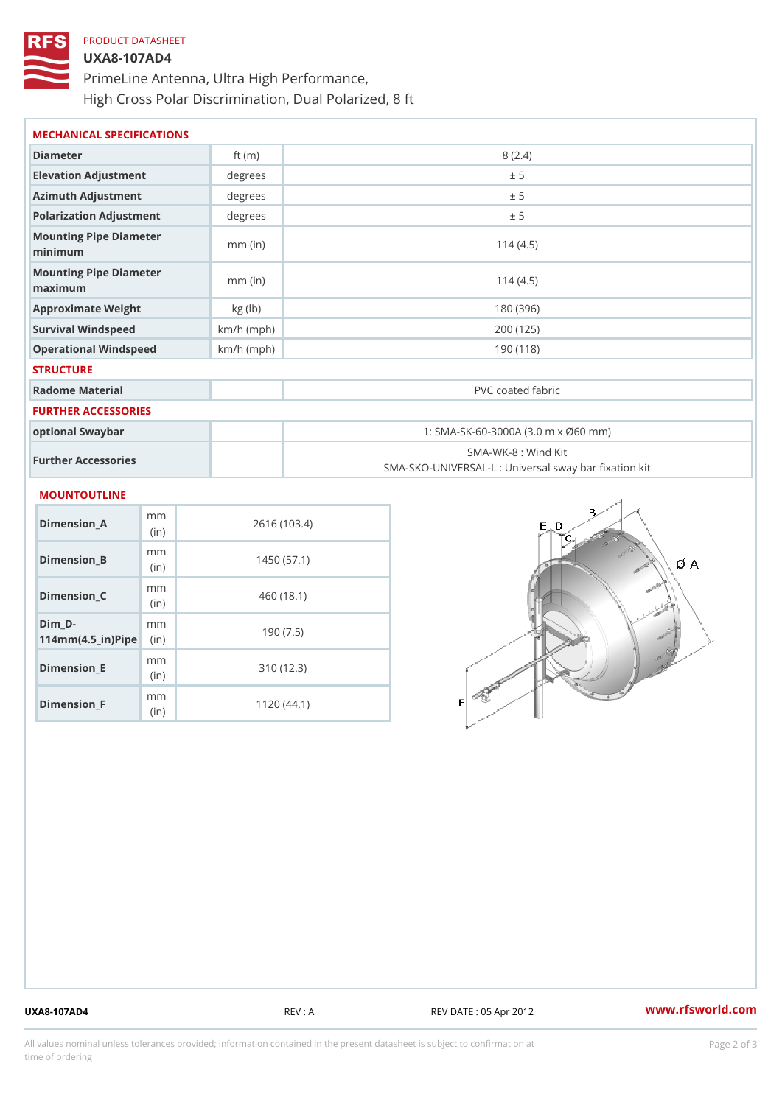# PRODUCT DATASHEET UXA8-107AD4 PrimeLine Antenna, Ultra High Performance, High Cross Polar Discrimination, Dual Polarized, 8 ft

| MECHANICAL SPECIFICATIONS               |              |                                                                          |        |
|-----------------------------------------|--------------|--------------------------------------------------------------------------|--------|
| Diameter                                | ft $(m)$     |                                                                          | 8(2.4) |
| Elevation Adjustment                    | degree:      |                                                                          | ± 5    |
| Azimuth Adjustment                      | degree:      |                                                                          | ± 5    |
| Polarization Adjustment                 | degrees      |                                                                          | ± 5    |
| Mounting Pipe Diameter<br>minimum       | $mm$ (in)    | 114(4.5)                                                                 |        |
| Mounting Pipe Diameter<br>maximum       | $mm$ (in)    | 114(4.5)                                                                 |        |
| Approximate Weight                      | kg(lb)       | 180 (396)                                                                |        |
| Survival Windspeed                      | $km/h$ (mph) | 200 (125)                                                                |        |
| Operational Windspeed                   | $km/h$ (mph) | 190 (118)                                                                |        |
| <b>STRUCTURE</b>                        |              |                                                                          |        |
| Radome Material                         |              | PVC coated fabric                                                        |        |
| FURTHER ACCESSORIES                     |              |                                                                          |        |
| optional Swaybar                        |              | 1: SMA-SK-60-3000A (3.0 m x Ø60 mm)                                      |        |
| Further Accessories                     |              | SMA-WK-8 : Wind Kit<br>SMA-SKO-UNIVERSAL-L : Universal sway bar fixation |        |
| MOUNTOUTLINE                            |              |                                                                          |        |
| m <sub>m</sub><br>$Dimension_A$<br>(i n |              | 2616 (103.4)                                                             |        |
| m m<br>Dimension B<br>$\int$ in         | 1450(57.1)   |                                                                          |        |

| $D$ imension $B$                                                      | (in)                     | 1450 (57.1) |
|-----------------------------------------------------------------------|--------------------------|-------------|
| Dimension_C                                                           | m m<br>(i <sub>n</sub> ) | 460 (18.1)  |
| Dim D-<br>$114$ m m $(4.5$ $-$ i r $)$ $\mathbb{R}$ ii p $\mathbb{R}$ | m m                      | 190(7.5)    |
| Dimension_E                                                           | m m<br>(i n)             | 310 (12.3)  |
| $Dimension_F$                                                         | m m<br>(i n              | 1120(44.1)  |

UXA8-107AD4 REV : A REV DATE : 05 Apr 2012 [www.](https://www.rfsworld.com)rfsworld.com